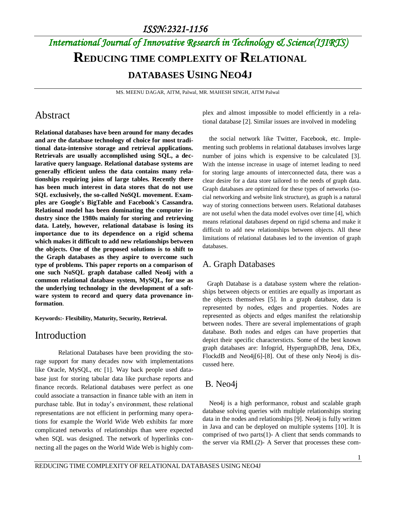# *International Journal of Innovative Research in Technology & Science(IJIRTS)* **REDUCING TIME COMPLEXITY OF RELATIONAL DATABASES USING NEO4J**

MS. MEENU DAGAR, AITM, Palwal, MR. MAHESH SINGH, AITM Palwal

### Abstract

**Relational databases have been around for many decades and are the database technology of choice for most traditional data-intensive storage and retrieval applications. Retrievals are usually accomplished using SQL, a declarative query language. Relational database systems are generally efficient unless the data contains many relationships requiring joins of large tables. Recently there has been much interest in data stores that do not use SQL exclusively, the so-called NoSQL movement. Examples are Google's BigTable and Facebook's Cassandra. Relational model has been dominating the computer industry since the 1980s mainly for storing and retrieving data. Lately, however, relational database is losing its importance due to its dependence on a rigid schema which makes it difficult to add new relationships between the objects. One of the proposed solutions is to shift to the Graph databases as they aspire to overcome such type of problems. This paper reports on a comparison of one such NoSQL graph database called Neo4j with a common relational database system, MySQL, for use as the underlying technology in the development of a software system to record and query data provenance information**.

**Keywords:- Flexibility, Maturity, Security, Retrieval.**

### Introduction

Relational Databases have been providing the storage support for many decades now with implementations like Oracle, MySQL, etc [1]. Way back people used database just for storing tabular data like purchase reports and finance records. Relational databases were perfect as one could associate a transaction in finance table with an item in purchase table. But in today's environment, these relational representations are not efficient in performing many operations for example the World Wide Web exhibits far more complicated networks of relationships than were expected when SQL was designed. The network of hyperlinks connecting all the pages on the World Wide Web is highly complex and almost impossible to model efficiently in a relational database [2]. Similar issues are involved in modeling

the social network like Twitter, Facebook, etc. Implementing such problems in relational databases involves large number of joins which is expensive to be calculated [3]. With the intense increase in usage of internet leading to need for storing large amounts of interconnected data, there was a clear desire for a data store tailored to the needs of graph data. Graph databases are optimized for these types of networks (social networking and website link structure), as graph is a natural way of storing connections between users. Relational databases are not useful when the data model evolves over time [4], which means relational databases depend on rigid schema and make it difficult to add new relationships between objects. All these limitations of relational databases led to the invention of graph databases.

### A. Graph Databases

 Graph Database is a database system where the relationships between objects or entities are equally as important as the objects themselves [5]. In a graph database, data is represented by nodes, edges and properties. Nodes are represented as objects and edges manifest the relationship between nodes. There are several implementations of graph database. Both nodes and edges can have properties that depict their specific charactersticts. Some of the best known graph databases are: Infogrid, HypergraphDB, Jena, DEx, FlockdB and Neo4j[6]-[8]. Out of these only Neo4j is discussed here.

### B. Neo4j

Neo4j is a high performance, robust and scalable graph database solving queries with multiple relationships storing data in the nodes and relationships [9]. Neo4j is fully written in Java and can be deployed on multiple systems [10]. It is comprised of two parts(1)- A client that sends commands to the server via RMI.(2)- A Server that processes these com-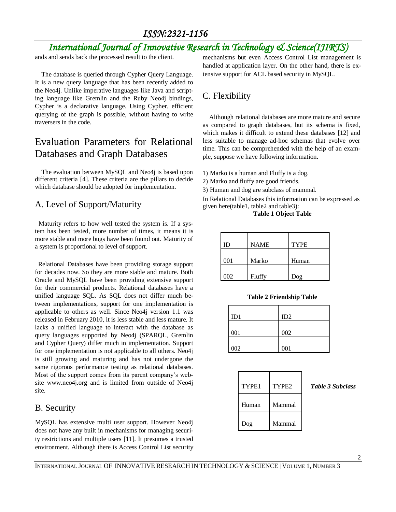# *International Journal of Innovative Research in Technology & Science(IJIRTS)*

ands and sends back the processed result to the client.

The database is queried through Cypher Query Language. It is a new query language that has been recently added to the Neo4j. Unlike imperative languages like Java and scripting language like Gremlin and the Ruby Neo4j bindings, Cypher is a declarative language. Using Cypher, efficient querying of the graph is possible, without having to write traversers in the code.

# Evaluation Parameters for Relational Databases and Graph Databases

The evaluation between MySQL and Neo4j is based upon different criteria [4]. These criteria are the pillars to decide which database should be adopted for implementation.

### A. Level of Support/Maturity

 Maturity refers to how well tested the system is. If a system has been tested, more number of times, it means it is more stable and more bugs have been found out. Maturity of a system is proportional to level of support.

 Relational Databases have been providing storage support for decades now. So they are more stable and mature. Both Oracle and MySQL have been providing extensive support for their commercial products. Relational databases have a unified language SQL. As SQL does not differ much between implementations, support for one implementation is applicable to others as well. Since Neo4j version 1.1 was released in February 2010, it is less stable and less mature. It lacks a unified language to interact with the database as query languages supported by Neo4j (SPARQL, Gremlin and Cypher Query) differ much in implementation. Support for one implementation is not applicable to all others. Neo4j is still growing and maturing and has not undergone the same rigorous performance testing as relational databases. Most of the support comes from its parent company's website www.neo4j.org and is limited from outside of Neo4j site.

### B. Security

MySQL has extensive multi user support. However Neo4j does not have any built in mechanisms for managing security restrictions and multiple users [11]. It presumes a trusted environment. Although there is Access Control List security mechanisms but even Access Control List management is handled at application layer. On the other hand, there is extensive support for ACL based security in MySQL.

# C. Flexibility

Although relational databases are more mature and secure as compared to graph databases, but its schema is fixed, which makes it difficult to extend these databases [12] and less suitable to manage ad-hoc schemas that evolve over time. This can be comprehended with the help of an example, suppose we have following information.

- 1) Marko is a human and Fluffy is a dog.
- 2) Marko and fluffy are good friends.
- 3) Human and dog are subclass of mammal.

In Relational Databases this information can be expressed as given here(table1, table2 and table3):

### **Table 1 Object Table**

| ID  | <b>NAME</b> | <b>TYPE</b> |
|-----|-------------|-------------|
| 001 | Marko       | Human       |
| 002 | Fluffy      | Dog         |

### **Table 2 Friendship Table**

| ID1 | ID2 |
|-----|-----|
| 001 | 002 |
| 002 | 001 |

| TYPE1 | TYPE <sub>2</sub> |
|-------|-------------------|
| Human | Mammal            |
| Dog   | Mammal            |

**Table 3 Subclass**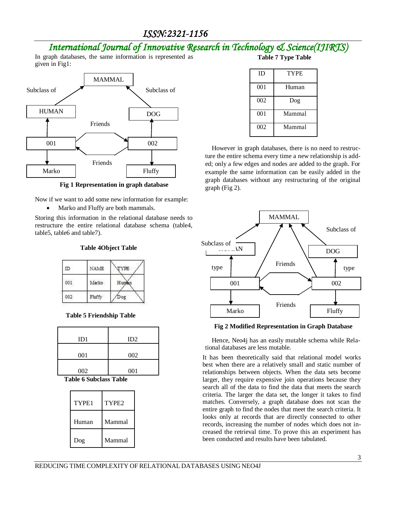# *International Journal of Innovative Research in Technology & Science(IJIRTS)*

In graph databases, the same information is represented as given in Fig1:



**Fig 1 Representation in graph database**

Now if we want to add some new information for example:

Marko and Fluffy are both mammals.

Storing this information in the relational database needs to restructure the entire relational database schema (table4, table5, table6 and table7).

#### **Table 4Object Table**

| ID  | NAME   | TYPE  |
|-----|--------|-------|
| 001 | Marko  | Human |
| MO  | Fluffy | ΟE    |

#### **Table 5 Friendship Table**

| ID2 |
|-----|
|     |
| 002 |
|     |
| 001 |
|     |

 **Table 6 Subclass Table**

| TYPE1 | TYPE <sub>2</sub> |
|-------|-------------------|
| Human | Mammal            |
| Dog   | Mammal            |

**Table 7 Type Table**

| ID  | <b>TYPE</b> |  |
|-----|-------------|--|
| 001 | Human       |  |
| 002 | Dog         |  |
| 001 | Mammal      |  |
| 002 | Mammal      |  |

However in graph databases, there is no need to restructure the entire schema every time a new relationship is added; only a few edges and nodes are added to the graph. For example the same information can be easily added in the graph databases without any restructuring of the original graph (Fig 2).



**Fig 2 Modified Representation in Graph Database**

Hence, Neo4j has an easily mutable schema while Relational databases are less mutable.

It has been theoretically said that relational model works best when there are a relatively small and static number of relationships between objects. When the data sets become larger, they require expensive join operations because they search all of the data to find the data that meets the search criteria. The larger the data set, the longer it takes to find matches. Conversely, a graph database does not scan the entire graph to find the nodes that meet the search criteria. It looks only at records that are directly connected to other records, increasing the number of nodes which does not increased the retrieval time. To prove this an experiment has been conducted and results have been tabulated.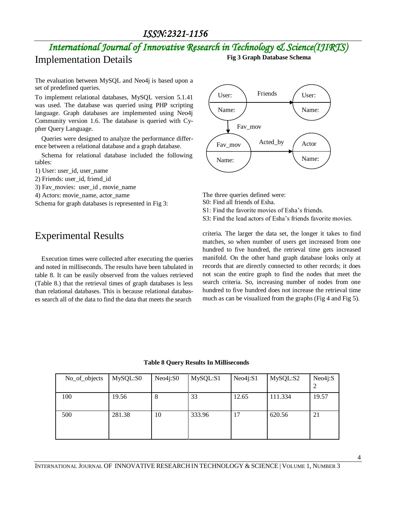# *International Journal of Innovative Research in Technology & Science(IJIRTS)* Implementation Details **Fig 3 Graph Database Schema**

The evaluation between MySQL and Neo4j is based upon a set of predefined queries.

To implement relational databases, MySQL version 5.1.41 was used. The database was queried using PHP scripting language. Graph databases are implemented using Neo4j Community version 1.6. The database is queried with Cypher Query Language.

Queries were designed to analyze the performance difference between a relational database and a graph database.

Schema for relational database included the following tables:

- 1) User: user\_id, user\_name
- 2) Friends: user\_id, friend\_id
- 3) Fav\_movies: user\_id , movie\_name
- 4) Actors: movie\_name, actor\_name

Schema for graph databases is represented in Fig 3:

# Experimental Results

Execution times were collected after executing the queries and noted in milliseconds. The results have been tabulated in table 8. It can be easily observed from the values retrieved (Table 8.) that the retrieval times of graph databases is less than relational databases. This is because relational databases search all of the data to find the data that meets the search



The three queries defined were: S0: Find all friends of Esha. S1: Find the favorite movies of Esha's friends.

S3: Find the lead actors of Esha's friends favorite movies.

criteria. The larger the data set, the longer it takes to find matches, so when number of users get increased from one hundred to five hundred, the retrieval time gets increased manifold. On the other hand graph database looks only at records that are directly connected to other records; it does not scan the entire graph to find the nodes that meet the search criteria. So, increasing number of nodes from one hundred to five hundred does not increase the retrieval time much as can be visualized from the graphs (Fig 4 and Fig 5).

**Table 8 Query Results In Milliseconds**

| No_of_objects | MySQL:S0 | Neo4i:SO | MySQL:S1 | Neo4j: S1 | MySQL:S2 | Neo4i:S |
|---------------|----------|----------|----------|-----------|----------|---------|
| 100           | 19.56    | 8        | 33       | 12.65     | 111.334  | 19.57   |
| 500           | 281.38   | 10       | 333.96   | 17        | 620.56   | 21      |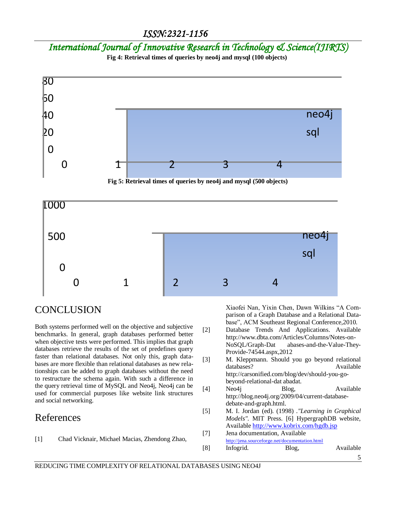*International Journal of Innovative Research in Technology & Science(IJIRTS)*

**Fig 4: Retrieval times of queries by neo4j and mysql (100 objects)**





## **CONCLUSION**

Both systems performed well on the objective and subjective benchmarks. In general, graph databases performed better when objective tests were performed. This implies that graph databases retrieve the results of the set of predefines query faster than relational databases. Not only this, graph databases are more flexible than relational databases as new relationships can be added to graph databases without the need to restructure the schema again. With such a difference in the query retrieval time of MySQL and Neo4j, Neo4j can be used for commercial purposes like website link structures and social networking.

### References

[1] Chad Vicknair, Michael Macias, Zhendong Zhao,

Xiaofei Nan, Yixin Chen, Dawn Wilkins "A Comparison of a Graph Database and a Relational Database", ACM Southeast Regional Conference,2010.

- [2] Database Trends And Applications. Available http://www.dbta.com/Articles/Columns/Notes-on-NoSQL/Graph-Dat abases-and-the-Value-They-Provide-74544.aspx,2012
- [3] M. Kleppmann. Should you go beyond relational databases? Available http://carsonified.com/blog/dev/should-you-gobeyond-relational-dat abadat.
- [4] Neo4j Blog, Available http://blog.neo4j.org/2009/04/current-databasedebate-and-graph.html.
- [5] M. I. Jordan (ed). (1998) .*"Learning in Graphical Models".* MIT Press. [6] HypergraphDB website, Availabl[e http://www.kobrix.com/hgdb.jsp](http://www.kobrix.com/hgdb.jsp)
- [7] Jena documentation, Available <http://jena.sourceforge.net/documentation.html>

| [8] | Infogrid. | Blog, | Available |
|-----|-----------|-------|-----------|
|-----|-----------|-------|-----------|